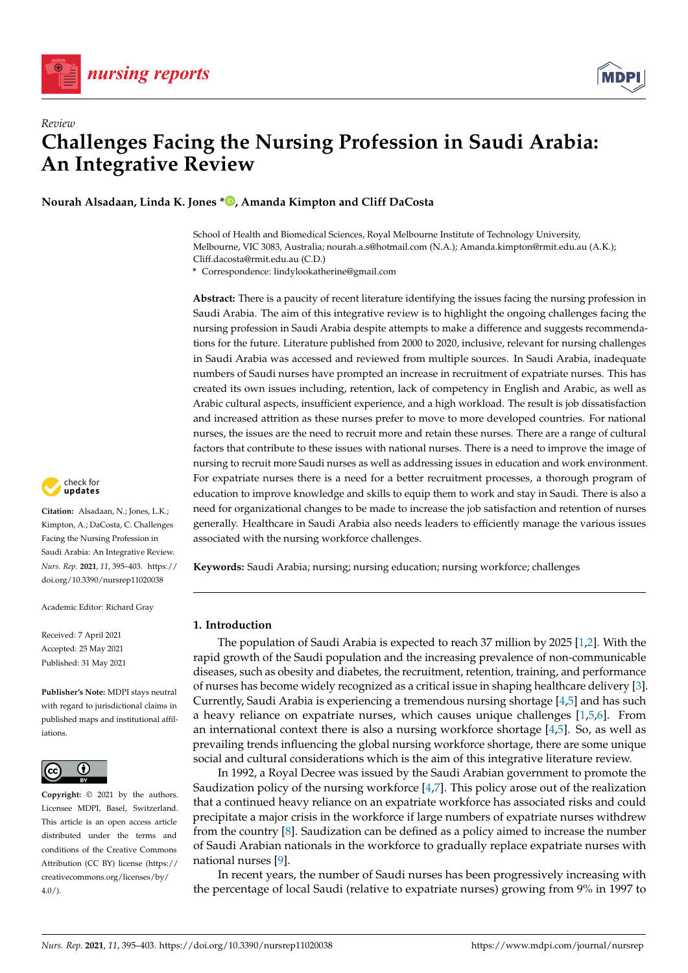



# *Review* **Challenges Facing the Nursing Profession in Saudi Arabia: An Integrative Review**

**Nourah Alsadaan, Linda K. Jones \* [,](https://orcid.org/0000-0002-2116-8545) Amanda Kimpton and Cliff DaCosta**

School of Health and Biomedical Sciences, Royal Melbourne Institute of Technology University, Melbourne, VIC 3083, Australia; nourah.a.s@hotmail.com (N.A.); Amanda.kimpton@rmit.edu.au (A.K.); Cliff.dacosta@rmit.edu.au (C.D.)

**\*** Correspondence: lindylookatherine@gmail.com

**Abstract:** There is a paucity of recent literature identifying the issues facing the nursing profession in Saudi Arabia. The aim of this integrative review is to highlight the ongoing challenges facing the nursing profession in Saudi Arabia despite attempts to make a difference and suggests recommendations for the future. Literature published from 2000 to 2020, inclusive, relevant for nursing challenges in Saudi Arabia was accessed and reviewed from multiple sources. In Saudi Arabia, inadequate numbers of Saudi nurses have prompted an increase in recruitment of expatriate nurses. This has created its own issues including, retention, lack of competency in English and Arabic, as well as Arabic cultural aspects, insufficient experience, and a high workload. The result is job dissatisfaction and increased attrition as these nurses prefer to move to more developed countries. For national nurses, the issues are the need to recruit more and retain these nurses. There are a range of cultural factors that contribute to these issues with national nurses. There is a need to improve the image of nursing to recruit more Saudi nurses as well as addressing issues in education and work environment. For expatriate nurses there is a need for a better recruitment processes, a thorough program of education to improve knowledge and skills to equip them to work and stay in Saudi. There is also a need for organizational changes to be made to increase the job satisfaction and retention of nurses generally. Healthcare in Saudi Arabia also needs leaders to efficiently manage the various issues associated with the nursing workforce challenges.

**Keywords:** Saudi Arabia; nursing; nursing education; nursing workforce; challenges

# **1. Introduction**

The population of Saudi Arabia is expected to reach 37 million by 2025 [\[1](#page-7-0)[,2\]](#page-7-1). With the rapid growth of the Saudi population and the increasing prevalence of non-communicable diseases, such as obesity and diabetes, the recruitment, retention, training, and performance of nurses has become widely recognized as a critical issue in shaping healthcare delivery [\[3\]](#page-7-2). Currently, Saudi Arabia is experiencing a tremendous nursing shortage [\[4,](#page-7-3)[5\]](#page-7-4) and has such a heavy reliance on expatriate nurses, which causes unique challenges [\[1](#page-7-0)[,5](#page-7-4)[,6\]](#page-7-5). From an international context there is also a nursing workforce shortage  $[4,5]$  $[4,5]$ . So, as well as prevailing trends influencing the global nursing workforce shortage, there are some unique social and cultural considerations which is the aim of this integrative literature review.

In 1992, a Royal Decree was issued by the Saudi Arabian government to promote the Saudization policy of the nursing workforce [\[4](#page-7-3)[,7\]](#page-7-6). This policy arose out of the realization that a continued heavy reliance on an expatriate workforce has associated risks and could precipitate a major crisis in the workforce if large numbers of expatriate nurses withdrew from the country [\[8\]](#page-7-7). Saudization can be defined as a policy aimed to increase the number of Saudi Arabian nationals in the workforce to gradually replace expatriate nurses with national nurses [\[9\]](#page-7-8).

In recent years, the number of Saudi nurses has been progressively increasing with the percentage of local Saudi (relative to expatriate nurses) growing from 9% in 1997 to



**Citation:** Alsadaan, N.; Jones, L.K.; Kimpton, A.; DaCosta, C. Challenges Facing the Nursing Profession in Saudi Arabia: An Integrative Review. *Nurs. Rep.* **2021**, *11*, 395–403. [https://](https://doi.org/10.3390/nursrep11020038) [doi.org/10.3390/nursrep11020038](https://doi.org/10.3390/nursrep11020038)

Academic Editor: Richard Gray

Received: 7 April 2021 Accepted: 25 May 2021 Published: 31 May 2021

**Publisher's Note:** MDPI stays neutral with regard to jurisdictional claims in published maps and institutional affiliations.



**Copyright:** © 2021 by the authors. Licensee MDPI, Basel, Switzerland. This article is an open access article distributed under the terms and conditions of the Creative Commons Attribution (CC BY) license (https:/[/](https://creativecommons.org/licenses/by/4.0/) [creativecommons.org/licenses/by/](https://creativecommons.org/licenses/by/4.0/)  $4.0/$ ).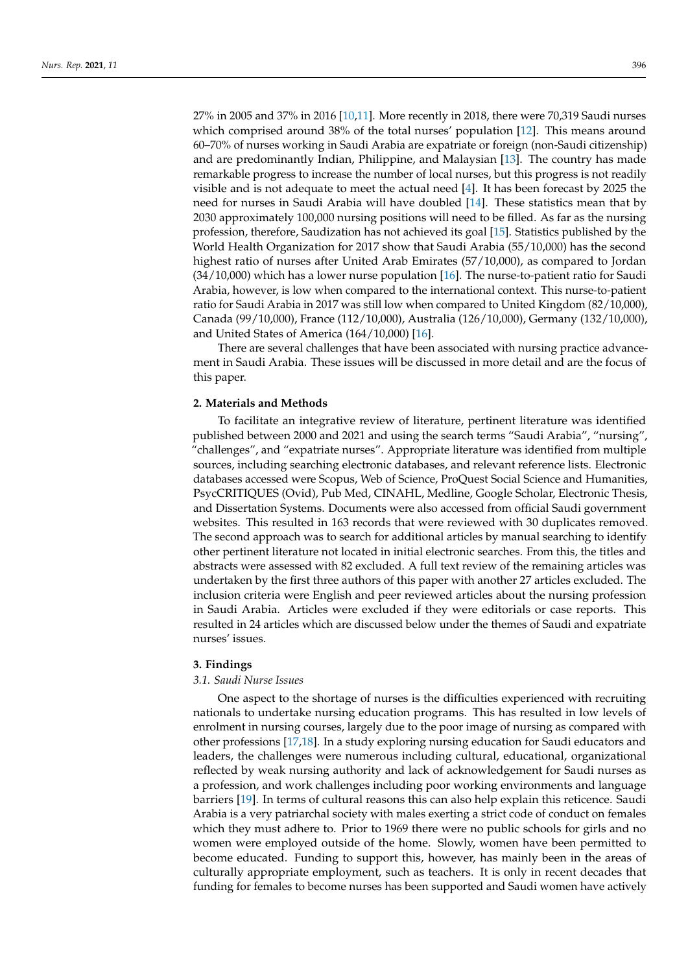27% in 2005 and 37% in 2016 [\[10,](#page-7-9)[11\]](#page-7-10). More recently in 2018, there were 70,319 Saudi nurses which comprised around 38% of the total nurses' population [\[12\]](#page-7-11). This means around 60–70% of nurses working in Saudi Arabia are expatriate or foreign (non-Saudi citizenship) and are predominantly Indian, Philippine, and Malaysian [\[13\]](#page-8-0). The country has made remarkable progress to increase the number of local nurses, but this progress is not readily visible and is not adequate to meet the actual need  $[4]$ . It has been forecast by 2025 the need for nurses in Saudi Arabia will have doubled [\[14\]](#page-8-1). These statistics mean that by 2030 approximately 100,000 nursing positions will need to be filled. As far as the nursing profession, therefore, Saudization has not achieved its goal [\[15\]](#page-8-2). Statistics published by the World Health Organization for 2017 show that Saudi Arabia (55/10,000) has the second highest ratio of nurses after United Arab Emirates (57/10,000), as compared to Jordan  $(34/10,000)$  which has a lower nurse population [\[16\]](#page-8-3). The nurse-to-patient ratio for Saudi Arabia, however, is low when compared to the international context. This nurse-to-patient ratio for Saudi Arabia in 2017 was still low when compared to United Kingdom (82/10,000),

Canada (99/10,000), France (112/10,000), Australia (126/10,000), Germany (132/10,000), and United States of America (164/10,000) [\[16\]](#page-8-3). There are several challenges that have been associated with nursing practice advance-

ment in Saudi Arabia. These issues will be discussed in more detail and are the focus of this paper.

## **2. Materials and Methods**

To facilitate an integrative review of literature, pertinent literature was identified published between 2000 and 2021 and using the search terms "Saudi Arabia", "nursing", "challenges", and "expatriate nurses". Appropriate literature was identified from multiple sources, including searching electronic databases, and relevant reference lists. Electronic databases accessed were Scopus, Web of Science, ProQuest Social Science and Humanities, PsycCRITIQUES (Ovid), Pub Med, CINAHL, Medline, Google Scholar, Electronic Thesis, and Dissertation Systems. Documents were also accessed from official Saudi government websites. This resulted in 163 records that were reviewed with 30 duplicates removed. The second approach was to search for additional articles by manual searching to identify other pertinent literature not located in initial electronic searches. From this, the titles and abstracts were assessed with 82 excluded. A full text review of the remaining articles was undertaken by the first three authors of this paper with another 27 articles excluded. The inclusion criteria were English and peer reviewed articles about the nursing profession in Saudi Arabia. Articles were excluded if they were editorials or case reports. This resulted in 24 articles which are discussed below under the themes of Saudi and expatriate nurses' issues.

## **3. Findings**

#### *3.1. Saudi Nurse Issues*

One aspect to the shortage of nurses is the difficulties experienced with recruiting nationals to undertake nursing education programs. This has resulted in low levels of enrolment in nursing courses, largely due to the poor image of nursing as compared with other professions [\[17,](#page-8-4)[18\]](#page-8-5). In a study exploring nursing education for Saudi educators and leaders, the challenges were numerous including cultural, educational, organizational reflected by weak nursing authority and lack of acknowledgement for Saudi nurses as a profession, and work challenges including poor working environments and language barriers [\[19\]](#page-8-6). In terms of cultural reasons this can also help explain this reticence. Saudi Arabia is a very patriarchal society with males exerting a strict code of conduct on females which they must adhere to. Prior to 1969 there were no public schools for girls and no women were employed outside of the home. Slowly, women have been permitted to become educated. Funding to support this, however, has mainly been in the areas of culturally appropriate employment, such as teachers. It is only in recent decades that funding for females to become nurses has been supported and Saudi women have actively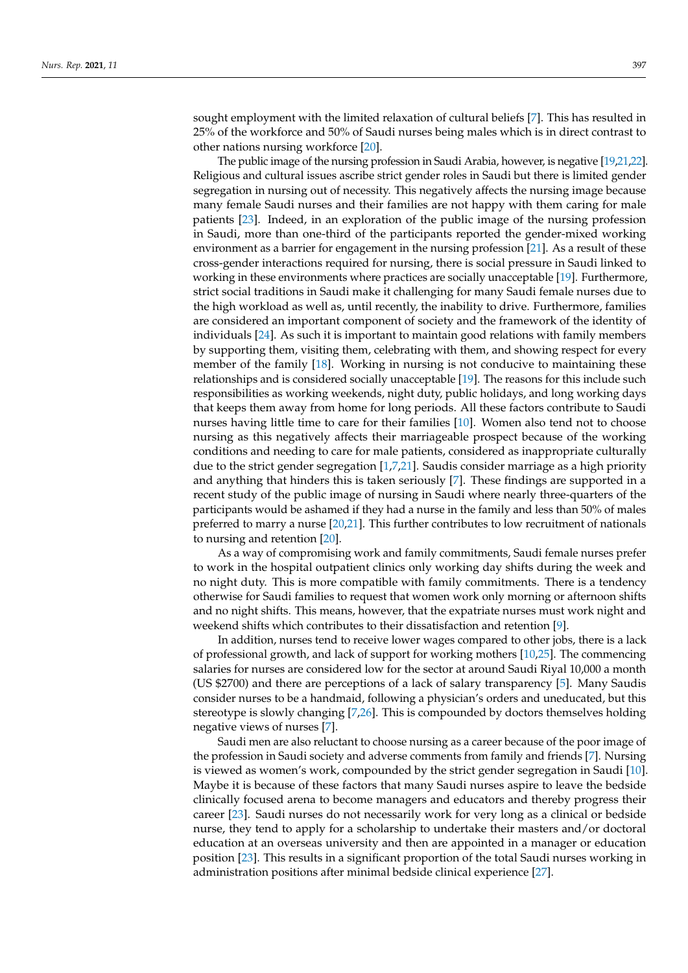sought employment with the limited relaxation of cultural beliefs [\[7\]](#page-7-6). This has resulted in 25% of the workforce and 50% of Saudi nurses being males which is in direct contrast to other nations nursing workforce [\[20\]](#page-8-7).

The public image of the nursing profession in Saudi Arabia, however, is negative [\[19,](#page-8-6)[21](#page-8-8)[,22\]](#page-8-9). Religious and cultural issues ascribe strict gender roles in Saudi but there is limited gender segregation in nursing out of necessity. This negatively affects the nursing image because many female Saudi nurses and their families are not happy with them caring for male patients [\[23\]](#page-8-10). Indeed, in an exploration of the public image of the nursing profession in Saudi, more than one-third of the participants reported the gender-mixed working environment as a barrier for engagement in the nursing profession [\[21\]](#page-8-8). As a result of these cross-gender interactions required for nursing, there is social pressure in Saudi linked to working in these environments where practices are socially unacceptable [\[19\]](#page-8-6). Furthermore, strict social traditions in Saudi make it challenging for many Saudi female nurses due to the high workload as well as, until recently, the inability to drive. Furthermore, families are considered an important component of society and the framework of the identity of individuals [\[24\]](#page-8-11). As such it is important to maintain good relations with family members by supporting them, visiting them, celebrating with them, and showing respect for every member of the family [\[18\]](#page-8-5). Working in nursing is not conducive to maintaining these relationships and is considered socially unacceptable [\[19\]](#page-8-6). The reasons for this include such responsibilities as working weekends, night duty, public holidays, and long working days that keeps them away from home for long periods. All these factors contribute to Saudi nurses having little time to care for their families [\[10\]](#page-7-9). Women also tend not to choose nursing as this negatively affects their marriageable prospect because of the working conditions and needing to care for male patients, considered as inappropriate culturally due to the strict gender segregation [\[1](#page-7-0)[,7](#page-7-6)[,21\]](#page-8-8). Saudis consider marriage as a high priority and anything that hinders this is taken seriously [\[7\]](#page-7-6). These findings are supported in a recent study of the public image of nursing in Saudi where nearly three-quarters of the participants would be ashamed if they had a nurse in the family and less than 50% of males preferred to marry a nurse [\[20](#page-8-7)[,21\]](#page-8-8). This further contributes to low recruitment of nationals to nursing and retention [\[20\]](#page-8-7).

As a way of compromising work and family commitments, Saudi female nurses prefer to work in the hospital outpatient clinics only working day shifts during the week and no night duty. This is more compatible with family commitments. There is a tendency otherwise for Saudi families to request that women work only morning or afternoon shifts and no night shifts. This means, however, that the expatriate nurses must work night and weekend shifts which contributes to their dissatisfaction and retention [\[9\]](#page-7-8).

In addition, nurses tend to receive lower wages compared to other jobs, there is a lack of professional growth, and lack of support for working mothers [\[10,](#page-7-9)[25\]](#page-8-12). The commencing salaries for nurses are considered low for the sector at around Saudi Riyal 10,000 a month (US \$2700) and there are perceptions of a lack of salary transparency [\[5\]](#page-7-4). Many Saudis consider nurses to be a handmaid, following a physician's orders and uneducated, but this stereotype is slowly changing [\[7,](#page-7-6)[26\]](#page-8-13). This is compounded by doctors themselves holding negative views of nurses [\[7\]](#page-7-6).

Saudi men are also reluctant to choose nursing as a career because of the poor image of the profession in Saudi society and adverse comments from family and friends [\[7\]](#page-7-6). Nursing is viewed as women's work, compounded by the strict gender segregation in Saudi [\[10\]](#page-7-9). Maybe it is because of these factors that many Saudi nurses aspire to leave the bedside clinically focused arena to become managers and educators and thereby progress their career [\[23\]](#page-8-10). Saudi nurses do not necessarily work for very long as a clinical or bedside nurse, they tend to apply for a scholarship to undertake their masters and/or doctoral education at an overseas university and then are appointed in a manager or education position [\[23\]](#page-8-10). This results in a significant proportion of the total Saudi nurses working in administration positions after minimal bedside clinical experience [\[27\]](#page-8-14).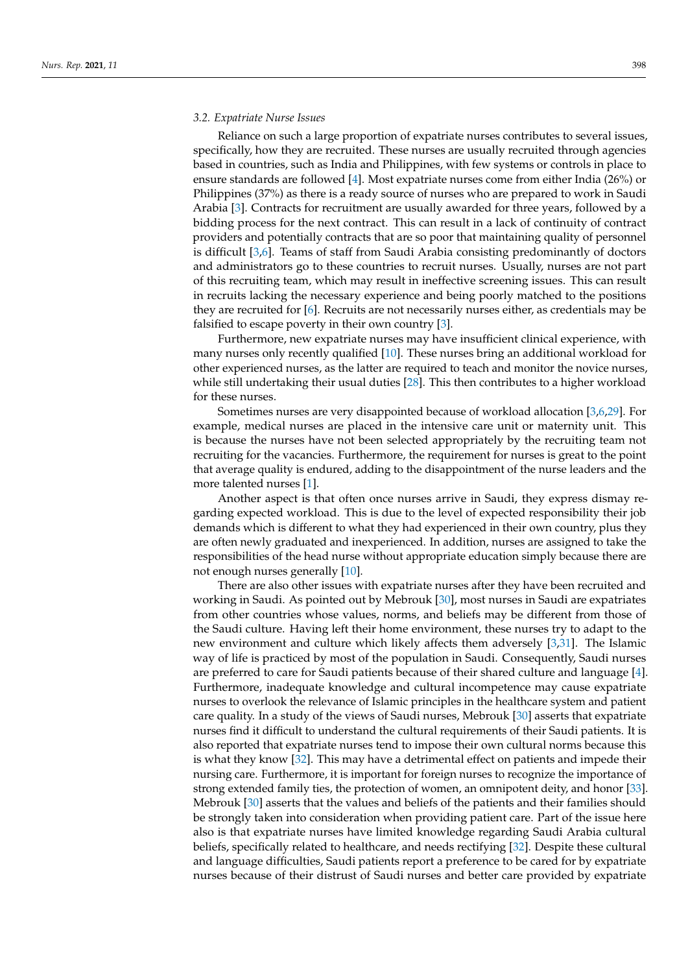## *3.2. Expatriate Nurse Issues*

Reliance on such a large proportion of expatriate nurses contributes to several issues, specifically, how they are recruited. These nurses are usually recruited through agencies based in countries, such as India and Philippines, with few systems or controls in place to ensure standards are followed [\[4\]](#page-7-3). Most expatriate nurses come from either India (26%) or Philippines (37%) as there is a ready source of nurses who are prepared to work in Saudi Arabia [\[3\]](#page-7-2). Contracts for recruitment are usually awarded for three years, followed by a bidding process for the next contract. This can result in a lack of continuity of contract providers and potentially contracts that are so poor that maintaining quality of personnel is difficult [\[3](#page-7-2)[,6\]](#page-7-5). Teams of staff from Saudi Arabia consisting predominantly of doctors and administrators go to these countries to recruit nurses. Usually, nurses are not part of this recruiting team, which may result in ineffective screening issues. This can result in recruits lacking the necessary experience and being poorly matched to the positions they are recruited for [\[6\]](#page-7-5). Recruits are not necessarily nurses either, as credentials may be falsified to escape poverty in their own country [\[3\]](#page-7-2).

Furthermore, new expatriate nurses may have insufficient clinical experience, with many nurses only recently qualified [\[10\]](#page-7-9). These nurses bring an additional workload for other experienced nurses, as the latter are required to teach and monitor the novice nurses, while still undertaking their usual duties [\[28\]](#page-8-15). This then contributes to a higher workload for these nurses.

Sometimes nurses are very disappointed because of workload allocation [\[3](#page-7-2)[,6](#page-7-5)[,29\]](#page-8-16). For example, medical nurses are placed in the intensive care unit or maternity unit. This is because the nurses have not been selected appropriately by the recruiting team not recruiting for the vacancies. Furthermore, the requirement for nurses is great to the point that average quality is endured, adding to the disappointment of the nurse leaders and the more talented nurses [\[1\]](#page-7-0).

Another aspect is that often once nurses arrive in Saudi, they express dismay regarding expected workload. This is due to the level of expected responsibility their job demands which is different to what they had experienced in their own country, plus they are often newly graduated and inexperienced. In addition, nurses are assigned to take the responsibilities of the head nurse without appropriate education simply because there are not enough nurses generally [\[10\]](#page-7-9).

There are also other issues with expatriate nurses after they have been recruited and working in Saudi. As pointed out by Mebrouk [\[30\]](#page-8-17), most nurses in Saudi are expatriates from other countries whose values, norms, and beliefs may be different from those of the Saudi culture. Having left their home environment, these nurses try to adapt to the new environment and culture which likely affects them adversely [\[3](#page-7-2)[,31\]](#page-8-18). The Islamic way of life is practiced by most of the population in Saudi. Consequently, Saudi nurses are preferred to care for Saudi patients because of their shared culture and language [\[4\]](#page-7-3). Furthermore, inadequate knowledge and cultural incompetence may cause expatriate nurses to overlook the relevance of Islamic principles in the healthcare system and patient care quality. In a study of the views of Saudi nurses, Mebrouk [\[30\]](#page-8-17) asserts that expatriate nurses find it difficult to understand the cultural requirements of their Saudi patients. It is also reported that expatriate nurses tend to impose their own cultural norms because this is what they know [\[32\]](#page-8-19). This may have a detrimental effect on patients and impede their nursing care. Furthermore, it is important for foreign nurses to recognize the importance of strong extended family ties, the protection of women, an omnipotent deity, and honor [\[33\]](#page-8-20). Mebrouk [\[30\]](#page-8-17) asserts that the values and beliefs of the patients and their families should be strongly taken into consideration when providing patient care. Part of the issue here also is that expatriate nurses have limited knowledge regarding Saudi Arabia cultural beliefs, specifically related to healthcare, and needs rectifying [\[32\]](#page-8-19). Despite these cultural and language difficulties, Saudi patients report a preference to be cared for by expatriate nurses because of their distrust of Saudi nurses and better care provided by expatriate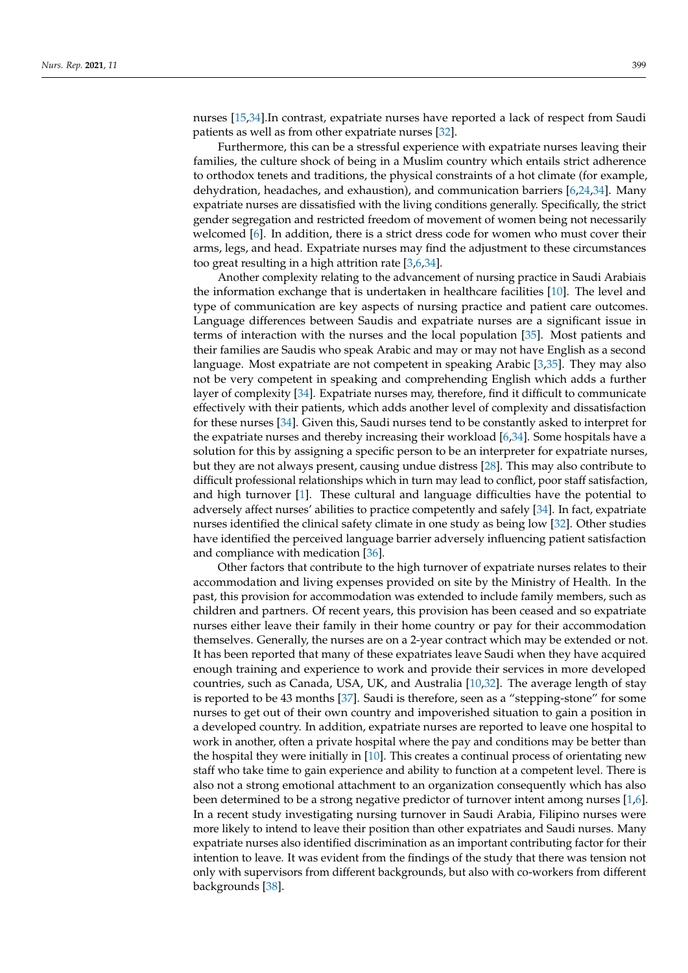nurses [\[15,](#page-8-2)[34\]](#page-8-21).In contrast, expatriate nurses have reported a lack of respect from Saudi patients as well as from other expatriate nurses [\[32\]](#page-8-19).

Furthermore, this can be a stressful experience with expatriate nurses leaving their families, the culture shock of being in a Muslim country which entails strict adherence to orthodox tenets and traditions, the physical constraints of a hot climate (for example, dehydration, headaches, and exhaustion), and communication barriers [\[6](#page-7-5)[,24](#page-8-11)[,34\]](#page-8-21). Many expatriate nurses are dissatisfied with the living conditions generally. Specifically, the strict gender segregation and restricted freedom of movement of women being not necessarily welcomed [\[6\]](#page-7-5). In addition, there is a strict dress code for women who must cover their arms, legs, and head. Expatriate nurses may find the adjustment to these circumstances too great resulting in a high attrition rate [\[3](#page-7-2)[,6](#page-7-5)[,34\]](#page-8-21).

Another complexity relating to the advancement of nursing practice in Saudi Arabiais the information exchange that is undertaken in healthcare facilities [\[10\]](#page-7-9). The level and type of communication are key aspects of nursing practice and patient care outcomes. Language differences between Saudis and expatriate nurses are a significant issue in terms of interaction with the nurses and the local population [\[35\]](#page-8-22). Most patients and their families are Saudis who speak Arabic and may or may not have English as a second language. Most expatriate are not competent in speaking Arabic [\[3](#page-7-2)[,35\]](#page-8-22). They may also not be very competent in speaking and comprehending English which adds a further layer of complexity [\[34\]](#page-8-21). Expatriate nurses may, therefore, find it difficult to communicate effectively with their patients, which adds another level of complexity and dissatisfaction for these nurses [\[34\]](#page-8-21). Given this, Saudi nurses tend to be constantly asked to interpret for the expatriate nurses and thereby increasing their workload [\[6](#page-7-5)[,34\]](#page-8-21). Some hospitals have a solution for this by assigning a specific person to be an interpreter for expatriate nurses, but they are not always present, causing undue distress [\[28\]](#page-8-15). This may also contribute to difficult professional relationships which in turn may lead to conflict, poor staff satisfaction, and high turnover [\[1\]](#page-7-0). These cultural and language difficulties have the potential to adversely affect nurses' abilities to practice competently and safely [\[34\]](#page-8-21). In fact, expatriate nurses identified the clinical safety climate in one study as being low [\[32\]](#page-8-19). Other studies have identified the perceived language barrier adversely influencing patient satisfaction and compliance with medication [\[36\]](#page-8-23).

Other factors that contribute to the high turnover of expatriate nurses relates to their accommodation and living expenses provided on site by the Ministry of Health. In the past, this provision for accommodation was extended to include family members, such as children and partners. Of recent years, this provision has been ceased and so expatriate nurses either leave their family in their home country or pay for their accommodation themselves. Generally, the nurses are on a 2-year contract which may be extended or not. It has been reported that many of these expatriates leave Saudi when they have acquired enough training and experience to work and provide their services in more developed countries, such as Canada, USA, UK, and Australia [\[10,](#page-7-9)[32\]](#page-8-19). The average length of stay is reported to be 43 months [\[37\]](#page-8-24). Saudi is therefore, seen as a "stepping-stone" for some nurses to get out of their own country and impoverished situation to gain a position in a developed country. In addition, expatriate nurses are reported to leave one hospital to work in another, often a private hospital where the pay and conditions may be better than the hospital they were initially in [\[10\]](#page-7-9). This creates a continual process of orientating new staff who take time to gain experience and ability to function at a competent level. There is also not a strong emotional attachment to an organization consequently which has also been determined to be a strong negative predictor of turnover intent among nurses [\[1,](#page-7-0)[6\]](#page-7-5). In a recent study investigating nursing turnover in Saudi Arabia, Filipino nurses were more likely to intend to leave their position than other expatriates and Saudi nurses. Many expatriate nurses also identified discrimination as an important contributing factor for their intention to leave. It was evident from the findings of the study that there was tension not only with supervisors from different backgrounds, but also with co-workers from different backgrounds [\[38\]](#page-8-25).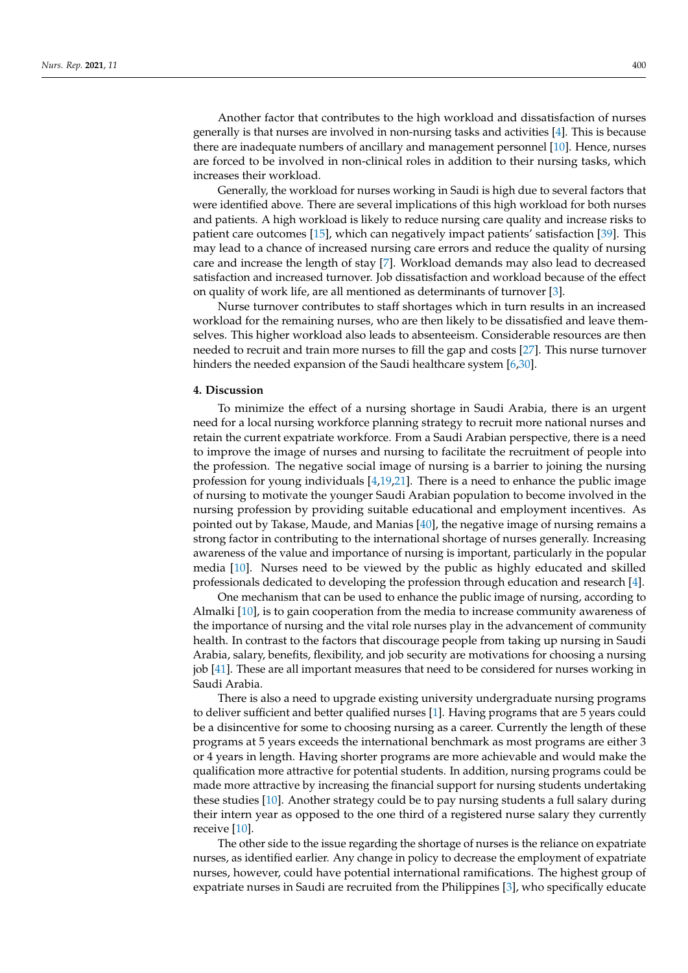Another factor that contributes to the high workload and dissatisfaction of nurses generally is that nurses are involved in non-nursing tasks and activities [\[4\]](#page-7-3). This is because there are inadequate numbers of ancillary and management personnel [\[10\]](#page-7-9). Hence, nurses are forced to be involved in non-clinical roles in addition to their nursing tasks, which increases their workload.

Generally, the workload for nurses working in Saudi is high due to several factors that were identified above. There are several implications of this high workload for both nurses and patients. A high workload is likely to reduce nursing care quality and increase risks to patient care outcomes [\[15\]](#page-8-2), which can negatively impact patients' satisfaction [\[39\]](#page-8-26). This may lead to a chance of increased nursing care errors and reduce the quality of nursing care and increase the length of stay [\[7\]](#page-7-6). Workload demands may also lead to decreased satisfaction and increased turnover. Job dissatisfaction and workload because of the effect on quality of work life, are all mentioned as determinants of turnover [\[3\]](#page-7-2).

Nurse turnover contributes to staff shortages which in turn results in an increased workload for the remaining nurses, who are then likely to be dissatisfied and leave themselves. This higher workload also leads to absenteeism. Considerable resources are then needed to recruit and train more nurses to fill the gap and costs [\[27\]](#page-8-14). This nurse turnover hinders the needed expansion of the Saudi healthcare system [\[6,](#page-7-5)[30\]](#page-8-17).

#### **4. Discussion**

To minimize the effect of a nursing shortage in Saudi Arabia, there is an urgent need for a local nursing workforce planning strategy to recruit more national nurses and retain the current expatriate workforce. From a Saudi Arabian perspective, there is a need to improve the image of nurses and nursing to facilitate the recruitment of people into the profession. The negative social image of nursing is a barrier to joining the nursing profession for young individuals  $[4,19,21]$  $[4,19,21]$  $[4,19,21]$ . There is a need to enhance the public image of nursing to motivate the younger Saudi Arabian population to become involved in the nursing profession by providing suitable educational and employment incentives. As pointed out by Takase, Maude, and Manias [\[40\]](#page-8-27), the negative image of nursing remains a strong factor in contributing to the international shortage of nurses generally. Increasing awareness of the value and importance of nursing is important, particularly in the popular media [\[10\]](#page-7-9). Nurses need to be viewed by the public as highly educated and skilled professionals dedicated to developing the profession through education and research [\[4\]](#page-7-3).

One mechanism that can be used to enhance the public image of nursing, according to Almalki [\[10\]](#page-7-9), is to gain cooperation from the media to increase community awareness of the importance of nursing and the vital role nurses play in the advancement of community health. In contrast to the factors that discourage people from taking up nursing in Saudi Arabia, salary, benefits, flexibility, and job security are motivations for choosing a nursing job [\[41\]](#page-8-28). These are all important measures that need to be considered for nurses working in Saudi Arabia.

There is also a need to upgrade existing university undergraduate nursing programs to deliver sufficient and better qualified nurses [\[1\]](#page-7-0). Having programs that are 5 years could be a disincentive for some to choosing nursing as a career. Currently the length of these programs at 5 years exceeds the international benchmark as most programs are either 3 or 4 years in length. Having shorter programs are more achievable and would make the qualification more attractive for potential students. In addition, nursing programs could be made more attractive by increasing the financial support for nursing students undertaking these studies [\[10\]](#page-7-9). Another strategy could be to pay nursing students a full salary during their intern year as opposed to the one third of a registered nurse salary they currently receive [\[10\]](#page-7-9).

The other side to the issue regarding the shortage of nurses is the reliance on expatriate nurses, as identified earlier. Any change in policy to decrease the employment of expatriate nurses, however, could have potential international ramifications. The highest group of expatriate nurses in Saudi are recruited from the Philippines [\[3\]](#page-7-2), who specifically educate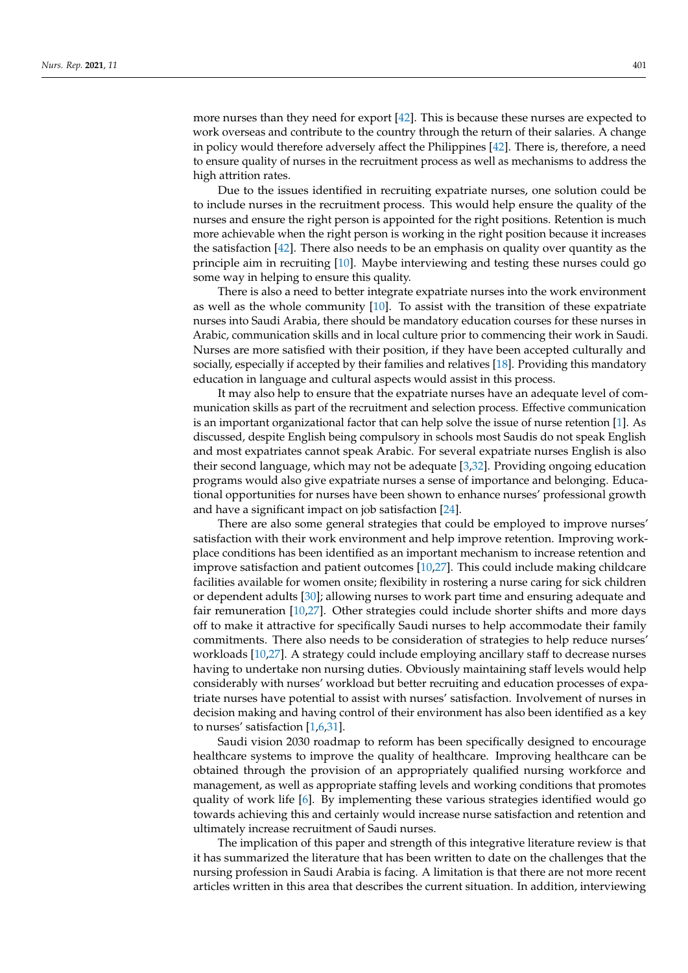more nurses than they need for export [\[42\]](#page-8-29). This is because these nurses are expected to work overseas and contribute to the country through the return of their salaries. A change in policy would therefore adversely affect the Philippines [\[42\]](#page-8-29). There is, therefore, a need to ensure quality of nurses in the recruitment process as well as mechanisms to address the high attrition rates.

Due to the issues identified in recruiting expatriate nurses, one solution could be to include nurses in the recruitment process. This would help ensure the quality of the nurses and ensure the right person is appointed for the right positions. Retention is much more achievable when the right person is working in the right position because it increases the satisfaction [\[42\]](#page-8-29). There also needs to be an emphasis on quality over quantity as the principle aim in recruiting [\[10\]](#page-7-9). Maybe interviewing and testing these nurses could go some way in helping to ensure this quality.

There is also a need to better integrate expatriate nurses into the work environment as well as the whole community [\[10\]](#page-7-9). To assist with the transition of these expatriate nurses into Saudi Arabia, there should be mandatory education courses for these nurses in Arabic, communication skills and in local culture prior to commencing their work in Saudi. Nurses are more satisfied with their position, if they have been accepted culturally and socially, especially if accepted by their families and relatives [\[18\]](#page-8-5). Providing this mandatory education in language and cultural aspects would assist in this process.

It may also help to ensure that the expatriate nurses have an adequate level of communication skills as part of the recruitment and selection process. Effective communication is an important organizational factor that can help solve the issue of nurse retention [\[1\]](#page-7-0). As discussed, despite English being compulsory in schools most Saudis do not speak English and most expatriates cannot speak Arabic. For several expatriate nurses English is also their second language, which may not be adequate [\[3,](#page-7-2)[32\]](#page-8-19). Providing ongoing education programs would also give expatriate nurses a sense of importance and belonging. Educational opportunities for nurses have been shown to enhance nurses' professional growth and have a significant impact on job satisfaction [\[24\]](#page-8-11).

There are also some general strategies that could be employed to improve nurses' satisfaction with their work environment and help improve retention. Improving workplace conditions has been identified as an important mechanism to increase retention and improve satisfaction and patient outcomes [\[10,](#page-7-9)[27\]](#page-8-14). This could include making childcare facilities available for women onsite; flexibility in rostering a nurse caring for sick children or dependent adults [\[30\]](#page-8-17); allowing nurses to work part time and ensuring adequate and fair remuneration [\[10,](#page-7-9)[27\]](#page-8-14). Other strategies could include shorter shifts and more days off to make it attractive for specifically Saudi nurses to help accommodate their family commitments. There also needs to be consideration of strategies to help reduce nurses' workloads [\[10,](#page-7-9)[27\]](#page-8-14). A strategy could include employing ancillary staff to decrease nurses having to undertake non nursing duties. Obviously maintaining staff levels would help considerably with nurses' workload but better recruiting and education processes of expatriate nurses have potential to assist with nurses' satisfaction. Involvement of nurses in decision making and having control of their environment has also been identified as a key to nurses' satisfaction [\[1,](#page-7-0)[6,](#page-7-5)[31\]](#page-8-18).

Saudi vision 2030 roadmap to reform has been specifically designed to encourage healthcare systems to improve the quality of healthcare. Improving healthcare can be obtained through the provision of an appropriately qualified nursing workforce and management, as well as appropriate staffing levels and working conditions that promotes quality of work life [\[6\]](#page-7-5). By implementing these various strategies identified would go towards achieving this and certainly would increase nurse satisfaction and retention and ultimately increase recruitment of Saudi nurses.

The implication of this paper and strength of this integrative literature review is that it has summarized the literature that has been written to date on the challenges that the nursing profession in Saudi Arabia is facing. A limitation is that there are not more recent articles written in this area that describes the current situation. In addition, interviewing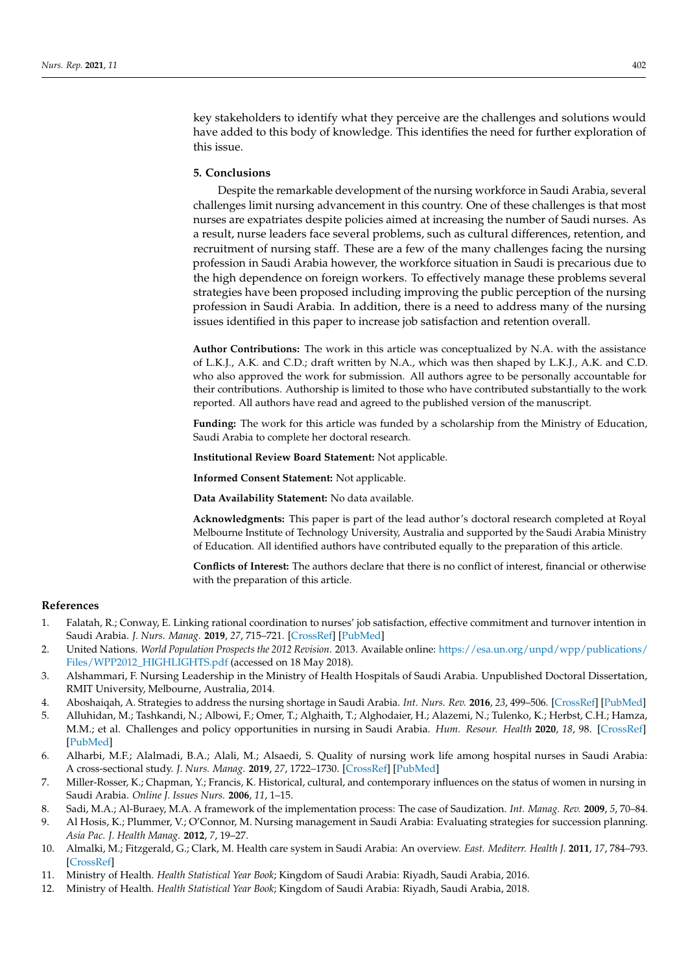key stakeholders to identify what they perceive are the challenges and solutions would have added to this body of knowledge. This identifies the need for further exploration of this issue.

## **5. Conclusions**

Despite the remarkable development of the nursing workforce in Saudi Arabia, several challenges limit nursing advancement in this country. One of these challenges is that most nurses are expatriates despite policies aimed at increasing the number of Saudi nurses. As a result, nurse leaders face several problems, such as cultural differences, retention, and recruitment of nursing staff. These are a few of the many challenges facing the nursing profession in Saudi Arabia however, the workforce situation in Saudi is precarious due to the high dependence on foreign workers. To effectively manage these problems several strategies have been proposed including improving the public perception of the nursing profession in Saudi Arabia. In addition, there is a need to address many of the nursing issues identified in this paper to increase job satisfaction and retention overall.

**Author Contributions:** The work in this article was conceptualized by N.A. with the assistance of L.K.J., A.K. and C.D.; draft written by N.A., which was then shaped by L.K.J., A.K. and C.D. who also approved the work for submission. All authors agree to be personally accountable for their contributions. Authorship is limited to those who have contributed substantially to the work reported. All authors have read and agreed to the published version of the manuscript.

**Funding:** The work for this article was funded by a scholarship from the Ministry of Education, Saudi Arabia to complete her doctoral research.

**Institutional Review Board Statement:** Not applicable.

**Informed Consent Statement:** Not applicable.

**Data Availability Statement:** No data available.

**Acknowledgments:** This paper is part of the lead author's doctoral research completed at Royal Melbourne Institute of Technology University, Australia and supported by the Saudi Arabia Ministry of Education. All identified authors have contributed equally to the preparation of this article.

**Conflicts of Interest:** The authors declare that there is no conflict of interest, financial or otherwise with the preparation of this article.

#### **References**

- <span id="page-7-0"></span>1. Falatah, R.; Conway, E. Linking rational coordination to nurses' job satisfaction, effective commitment and turnover intention in Saudi Arabia. *J. Nurs. Manag.* **2019**, *27*, 715–721. [\[CrossRef\]](http://doi.org/10.1111/jonm.12735) [\[PubMed\]](http://www.ncbi.nlm.nih.gov/pubmed/30449053)
- <span id="page-7-1"></span>2. United Nations. *World Population Prospects the 2012 Revision*. 2013. Available online: [https://esa.un.org/unpd/wpp/publications/](https://esa.un.org/unpd/wpp/publications/Files/WPP2012_HIGHLIGHTS.pdf) [Files/WPP2012\\_HIGHLIGHTS.pdf](https://esa.un.org/unpd/wpp/publications/Files/WPP2012_HIGHLIGHTS.pdf) (accessed on 18 May 2018).
- <span id="page-7-2"></span>3. Alshammari, F. Nursing Leadership in the Ministry of Health Hospitals of Saudi Arabia. Unpublished Doctoral Dissertation, RMIT University, Melbourne, Australia, 2014.
- <span id="page-7-3"></span>4. Aboshaiqah, A. Strategies to address the nursing shortage in Saudi Arabia. *Int. Nurs. Rev.* **2016**, *23*, 499–506. [\[CrossRef\]](http://doi.org/10.1111/inr.12271) [\[PubMed\]](http://www.ncbi.nlm.nih.gov/pubmed/27324589)
- <span id="page-7-4"></span>5. Alluhidan, M.; Tashkandi, N.; Albowi, F.; Omer, T.; Alghaith, T.; Alghodaier, H.; Alazemi, N.; Tulenko, K.; Herbst, C.H.; Hamza, M.M.; et al. Challenges and policy opportunities in nursing in Saudi Arabia. *Hum. Resour. Health* **2020**, *18*, 98. [\[CrossRef\]](http://doi.org/10.1186/s12960-020-00535-2) [\[PubMed\]](http://www.ncbi.nlm.nih.gov/pubmed/33276794)
- <span id="page-7-5"></span>6. Alharbi, M.F.; Alalmadi, B.A.; Alali, M.; Alsaedi, S. Quality of nursing work life among hospital nurses in Saudi Arabia: A cross-sectional study. *J. Nurs. Manag.* **2019**, *27*, 1722–1730. [\[CrossRef\]](http://doi.org/10.1111/jonm.12863) [\[PubMed\]](http://www.ncbi.nlm.nih.gov/pubmed/31495010)
- <span id="page-7-6"></span>7. Miller-Rosser, K.; Chapman, Y.; Francis, K. Historical, cultural, and contemporary influences on the status of women in nursing in Saudi Arabia. *Online J. Issues Nurs.* **2006**, *11*, 1–15.
- <span id="page-7-7"></span>8. Sadi, M.A.; Al-Buraey, M.A. A framework of the implementation process: The case of Saudization. *Int. Manag. Rev.* **2009**, *5*, 70–84.
- <span id="page-7-8"></span>9. Al Hosis, K.; Plummer, V.; O'Connor, M. Nursing management in Saudi Arabia: Evaluating strategies for succession planning. *Asia Pac. J. Health Manag.* **2012**, *7*, 19–27.
- <span id="page-7-9"></span>10. Almalki, M.; Fitzgerald, G.; Clark, M. Health care system in Saudi Arabia: An overview. *East. Mediterr. Health J.* **2011**, *17*, 784–793. [\[CrossRef\]](http://doi.org/10.26719/2011.17.10.784)
- <span id="page-7-10"></span>11. Ministry of Health. *Health Statistical Year Book*; Kingdom of Saudi Arabia: Riyadh, Saudi Arabia, 2016.
- <span id="page-7-11"></span>12. Ministry of Health. *Health Statistical Year Book*; Kingdom of Saudi Arabia: Riyadh, Saudi Arabia, 2018.